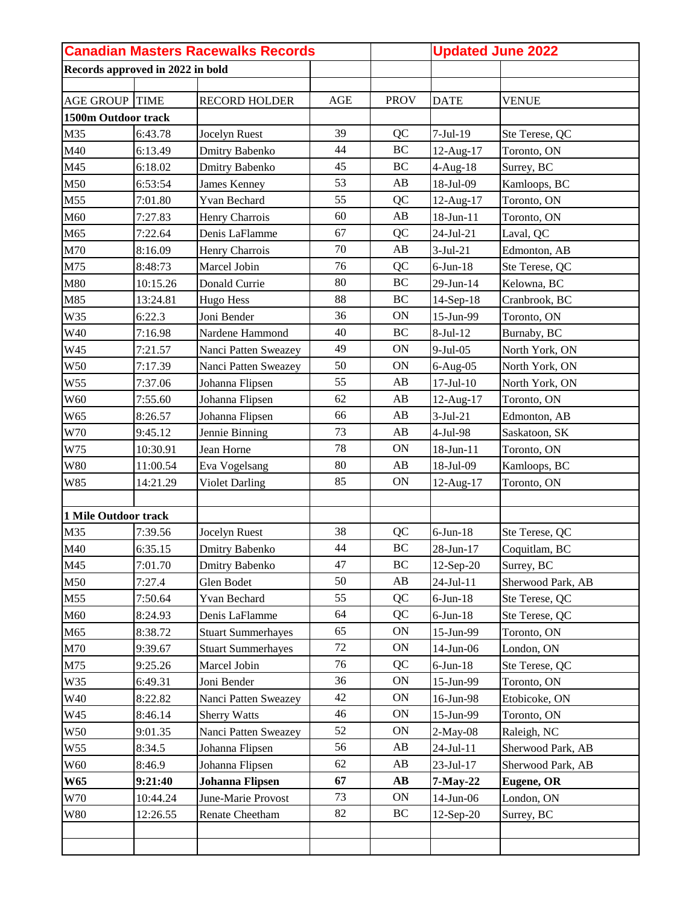|                      |                                  | <b>Canadian Masters Racewalks Records</b> |     |                        |                 | <b>Updated June 2022</b> |  |
|----------------------|----------------------------------|-------------------------------------------|-----|------------------------|-----------------|--------------------------|--|
|                      | Records approved in 2022 in bold |                                           |     |                        |                 |                          |  |
|                      |                                  |                                           |     |                        |                 |                          |  |
| <b>AGE GROUP</b>     | <b>TIME</b>                      | <b>RECORD HOLDER</b>                      | AGE | <b>PROV</b>            | <b>DATE</b>     | <b>VENUE</b>             |  |
| 1500m Outdoor track  |                                  |                                           |     |                        |                 |                          |  |
| M35                  | 6:43.78                          | Jocelyn Ruest                             | 39  | QC                     | $7-Jul-19$      | Ste Terese, QC           |  |
| M40                  | 6:13.49                          | Dmitry Babenko                            | 44  | $\rm BC$               | 12-Aug-17       | Toronto, ON              |  |
| M45                  | 6:18.02                          | <b>Dmitry Babenko</b>                     | 45  | BC                     | $4$ -Aug-18     | Surrey, BC               |  |
| M50                  | 6:53:54                          | James Kenney                              | 53  | AB                     | 18-Jul-09       | Kamloops, BC             |  |
| M55                  | 7:01.80                          | Yvan Bechard                              | 55  | QC                     | 12-Aug-17       | Toronto, ON              |  |
| M60                  | 7:27.83                          | Henry Charrois                            | 60  | AB                     | 18-Jun-11       | Toronto, ON              |  |
| M65                  | 7:22.64                          | Denis LaFlamme                            | 67  | QC                     | 24-Jul-21       | Laval, QC                |  |
| M70                  | 8:16.09                          | Henry Charrois                            | 70  | AB                     | $3-Jul-21$      | Edmonton, AB             |  |
| M75                  | 8:48:73                          | Marcel Jobin                              | 76  | QC                     | $6$ -Jun- $18$  | Ste Terese, QC           |  |
| M80                  | 10:15.26                         | Donald Currie                             | 80  | <b>BC</b>              | $29$ -Jun-14    | Kelowna, BC              |  |
| M85                  | 13:24.81                         | <b>Hugo Hess</b>                          | 88  | <b>BC</b>              | 14-Sep-18       | Cranbrook, BC            |  |
| W35                  | 6:22.3                           | Joni Bender                               | 36  | <b>ON</b>              | 15-Jun-99       | Toronto, ON              |  |
| W40                  | 7:16.98                          | Nardene Hammond                           | 40  | <b>BC</b>              | 8-Jul-12        | Burnaby, BC              |  |
| W45                  | 7:21.57                          | Nanci Patten Sweazey                      | 49  | ON                     | 9-Jul-05        | North York, ON           |  |
| W50                  | 7:17.39                          | Nanci Patten Sweazey                      | 50  | ON                     | $6-Aug-05$      | North York, ON           |  |
| W55                  | 7:37.06                          | Johanna Flipsen                           | 55  | AB                     | $17$ -Jul- $10$ | North York, ON           |  |
| W60                  | 7:55.60                          | Johanna Flipsen                           | 62  | AB                     | 12-Aug-17       | Toronto, ON              |  |
| W65                  | 8:26.57                          | Johanna Flipsen                           | 66  | AB                     | $3-Jul-21$      | Edmonton, AB             |  |
| W70                  | 9:45.12                          | Jennie Binning                            | 73  | AB                     | 4-Jul-98        | Saskatoon, SK            |  |
| W75                  | 10:30.91                         | Jean Horne                                | 78  | ON                     | 18-Jun-11       | Toronto, ON              |  |
| <b>W80</b>           | 11:00.54                         | Eva Vogelsang                             | 80  | AB                     | 18-Jul-09       | Kamloops, BC             |  |
| W85                  | 14:21.29                         | <b>Violet Darling</b>                     | 85  | <b>ON</b>              | 12-Aug-17       | Toronto, ON              |  |
|                      |                                  |                                           |     |                        |                 |                          |  |
| 1 Mile Outdoor track |                                  |                                           |     |                        |                 |                          |  |
| M35                  | 7:39.56                          | Jocelyn Ruest                             | 38  | QC                     | $6$ -Jun- $18$  | Ste Terese, QC           |  |
| M40                  | 6:35.15                          | Dmitry Babenko                            | 44  | BC                     | 28-Jun-17       | Coquitlam, BC            |  |
| M45                  | 7:01.70                          | Dmitry Babenko                            | 47  | BC                     | 12-Sep-20       | Surrey, BC               |  |
| M50                  | 7:27.4                           | Glen Bodet                                | 50  | AB                     | 24-Jul-11       | Sherwood Park, AB        |  |
| M55                  | 7:50.64                          | Yvan Bechard                              | 55  | QC                     | $6$ -Jun- $18$  | Ste Terese, QC           |  |
| M60                  | 8:24.93                          | Denis LaFlamme                            | 64  | QC                     | $6$ -Jun- $18$  | Ste Terese, QC           |  |
| M65                  | 8:38.72                          | <b>Stuart Summerhayes</b>                 | 65  | ON                     | 15-Jun-99       | Toronto, ON              |  |
| M70                  | 9:39.67                          | <b>Stuart Summerhayes</b>                 | 72  | <b>ON</b>              | 14-Jun-06       | London, ON               |  |
| M75                  | 9:25.26                          | Marcel Jobin                              | 76  | QC                     | $6$ -Jun-18     | Ste Terese, QC           |  |
| W35                  | 6:49.31                          | Joni Bender                               | 36  | ON                     | 15-Jun-99       | Toronto, ON              |  |
| W40                  | 8:22.82                          | Nanci Patten Sweazey                      | 42  | ON                     | 16-Jun-98       | Etobicoke, ON            |  |
| W45                  | 8:46.14                          | <b>Sherry Watts</b>                       | 46  | ON                     | 15-Jun-99       | Toronto, ON              |  |
| W50                  | 9:01.35                          | Nanci Patten Sweazey                      | 52  | ON                     | $2-May-08$      | Raleigh, NC              |  |
| W55                  | 8:34.5                           | Johanna Flipsen                           | 56  | AB                     | 24-Jul-11       | Sherwood Park, AB        |  |
| W60                  | 8:46.9                           | Johanna Flipsen                           | 62  | $\mathbf{A}\mathbf{B}$ | $23-Jul-17$     | Sherwood Park, AB        |  |
| <b>W65</b>           | 9:21:40                          | <b>Johanna Flipsen</b>                    | 67  | $\mathbf{A}\mathbf{B}$ | 7-May-22        | <b>Eugene, OR</b>        |  |
| W70                  | 10:44.24                         | June-Marie Provost                        | 73  | ON                     | $14$ -Jun-06    | London, ON               |  |
| $\,$ W80 $\,$        | 12:26.55                         | Renate Cheetham                           | 82  | BC                     | $12-Sep-20$     | Surrey, BC               |  |
|                      |                                  |                                           |     |                        |                 |                          |  |
|                      |                                  |                                           |     |                        |                 |                          |  |
|                      |                                  |                                           |     |                        |                 |                          |  |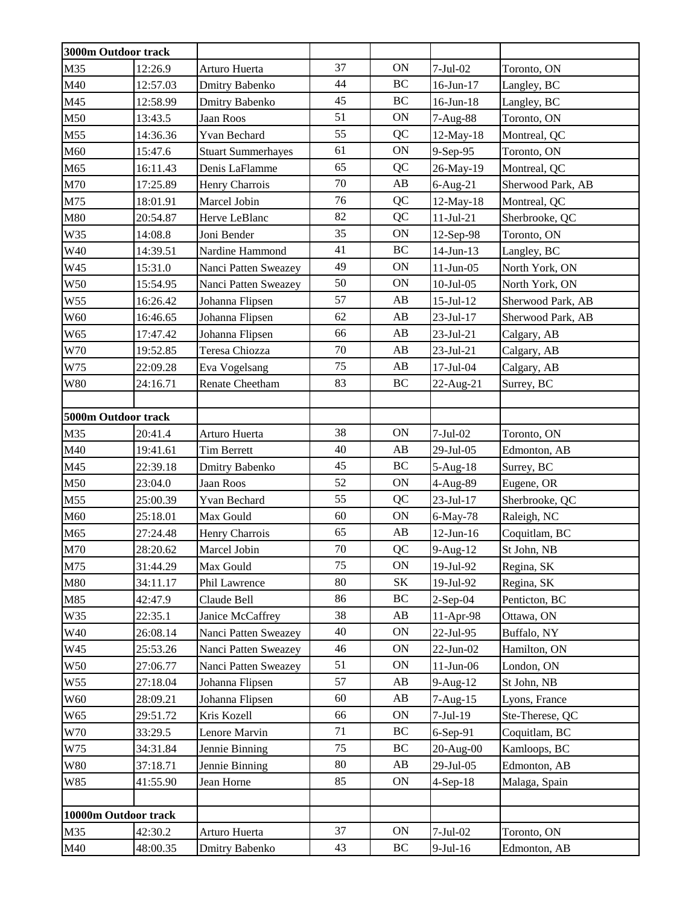|                 | 3000m Outdoor track  |                           |    |           |                 |                   |
|-----------------|----------------------|---------------------------|----|-----------|-----------------|-------------------|
| M35             | 12:26.9              | Arturo Huerta             | 37 | ON        | $7-Jul-02$      | Toronto, ON       |
| M40             | 12:57.03             | Dmitry Babenko            | 44 | BC        | 16-Jun-17       | Langley, BC       |
| M45             | 12:58.99             | Dmitry Babenko            | 45 | BC        | $16$ -Jun- $18$ | Langley, BC       |
| M50             | 13:43.5              | Jaan Roos                 | 51 | ON        | 7-Aug-88        | Toronto, ON       |
| M55             | 14:36.36             | Yvan Bechard              | 55 | QC        | 12-May-18       | Montreal, QC      |
| M60             | 15:47.6              | <b>Stuart Summerhayes</b> | 61 | <b>ON</b> | 9-Sep-95        | Toronto, ON       |
| M65             | 16:11.43             | Denis LaFlamme            | 65 | QC        | 26-May-19       | Montreal, QC      |
| M70             | 17:25.89             | Henry Charrois            | 70 | AB        | $6$ -Aug-21     | Sherwood Park, AB |
| M75             | 18:01.91             | Marcel Jobin              | 76 | QC        | 12-May-18       | Montreal, QC      |
| M80             | 20:54.87             | Herve LeBlanc             | 82 | QC        | $11-Jul-21$     | Sherbrooke, QC    |
| W35             | 14:08.8              | Joni Bender               | 35 | ON        | 12-Sep-98       | Toronto, ON       |
| W40             | 14:39.51             | Nardine Hammond           | 41 | $\rm BC$  | 14-Jun-13       | Langley, BC       |
| W45             | 15:31.0              | Nanci Patten Sweazey      | 49 | ON        | $11-Jun-05$     | North York, ON    |
| W50             | 15:54.95             | Nanci Patten Sweazey      | 50 | ON        | $10$ -Jul- $05$ | North York, ON    |
| W55             | 16:26.42             | Johanna Flipsen           | 57 | AB        | $15$ -Jul- $12$ | Sherwood Park, AB |
| W60             | 16:46.65             | Johanna Flipsen           | 62 | AB        | 23-Jul-17       | Sherwood Park, AB |
| W65             | 17:47.42             | Johanna Flipsen           | 66 | AB        | 23-Jul-21       | Calgary, AB       |
| W70             | 19:52.85             | Teresa Chiozza            | 70 | AB        | $23-Jul-21$     | Calgary, AB       |
| W75             | 22:09.28             | Eva Vogelsang             | 75 | AB        | 17-Jul-04       | Calgary, AB       |
| <b>W80</b>      | 24:16.71             | <b>Renate Cheetham</b>    | 83 | BC        | 22-Aug-21       | Surrey, BC        |
|                 |                      |                           |    |           |                 |                   |
|                 | 5000m Outdoor track  |                           |    |           |                 |                   |
| M35             | 20:41.4              | Arturo Huerta             | 38 | ON        | $7-Jul-02$      | Toronto, ON       |
| M40             | 19:41.61             | <b>Tim Berrett</b>        | 40 | AB        | 29-Jul-05       | Edmonton, AB      |
| M45             | 22:39.18             | Dmitry Babenko            | 45 | BC        | $5-Aug-18$      | Surrey, BC        |
| M50             | 23:04.0              | Jaan Roos                 | 52 | ON        | 4-Aug-89        | Eugene, OR        |
| M55             | 25:00.39             | Yvan Bechard              | 55 | QC        | 23-Jul-17       | Sherbrooke, QC    |
| M60             | 25:18.01             | Max Gould                 | 60 | <b>ON</b> | 6-May-78        | Raleigh, NC       |
| M65             | 27:24.48             | Henry Charrois            | 65 | AB        | $12$ -Jun- $16$ | Coquitlam, BC     |
| M70             | 28:20.62             | Marcel Jobin              | 70 | QC        | 9-Aug-12        | St John, NB       |
| M75             | 31:44.29             | Max Gould                 | 75 | <b>ON</b> | 19-Jul-92       | Regina, SK        |
| M80             | 34:11.17             | Phil Lawrence             | 80 | SK        | 19-Jul-92       | Regina, SK        |
| M85             | 42:47.9              | Claude Bell               | 86 | BC        | $2-Sep-04$      | Penticton, BC     |
| W35             | 22:35.1              | Janice McCaffrey          | 38 | AB        | 11-Apr-98       | Ottawa, ON        |
| W40             | 26:08.14             | Nanci Patten Sweazey      | 40 | <b>ON</b> | 22-Jul-95       | Buffalo, NY       |
| W45             | 25:53.26             | Nanci Patten Sweazey      | 46 | ON        | $22-Jun-02$     | Hamilton, ON      |
| W <sub>50</sub> | 27:06.77             | Nanci Patten Sweazey      | 51 | ON        | $11$ -Jun-06    | London, ON        |
| W55             | 27:18.04             | Johanna Flipsen           | 57 | AB        | $9-Aug-12$      | St John, NB       |
| W60             | 28:09.21             | Johanna Flipsen           | 60 | AB        | $7 - Aug-15$    | Lyons, France     |
| W65             | 29:51.72             | Kris Kozell               | 66 | ON        | $7-Jul-19$      | Ste-Therese, QC   |
| W70             | 33:29.5              | Lenore Marvin             | 71 | BC        | $6-Sep-91$      | Coquitlam, BC     |
| W75             | 34:31.84             | Jennie Binning            | 75 | BC        | 20-Aug-00       | Kamloops, BC      |
| <b>W80</b>      | 37:18.71             | Jennie Binning            | 80 | AB        | 29-Jul-05       | Edmonton, AB      |
| W85             | 41:55.90             | Jean Horne                | 85 | ON        | $4-Sep-18$      | Malaga, Spain     |
|                 |                      |                           |    |           |                 |                   |
|                 | 10000m Outdoor track |                           |    |           |                 |                   |
| M35             | 42:30.2              | Arturo Huerta             | 37 | ON        | $7-Jul-02$      | Toronto, ON       |
| M40             | 48:00.35             | Dmitry Babenko            | 43 | BC        | $9$ -Jul-16     | Edmonton, AB      |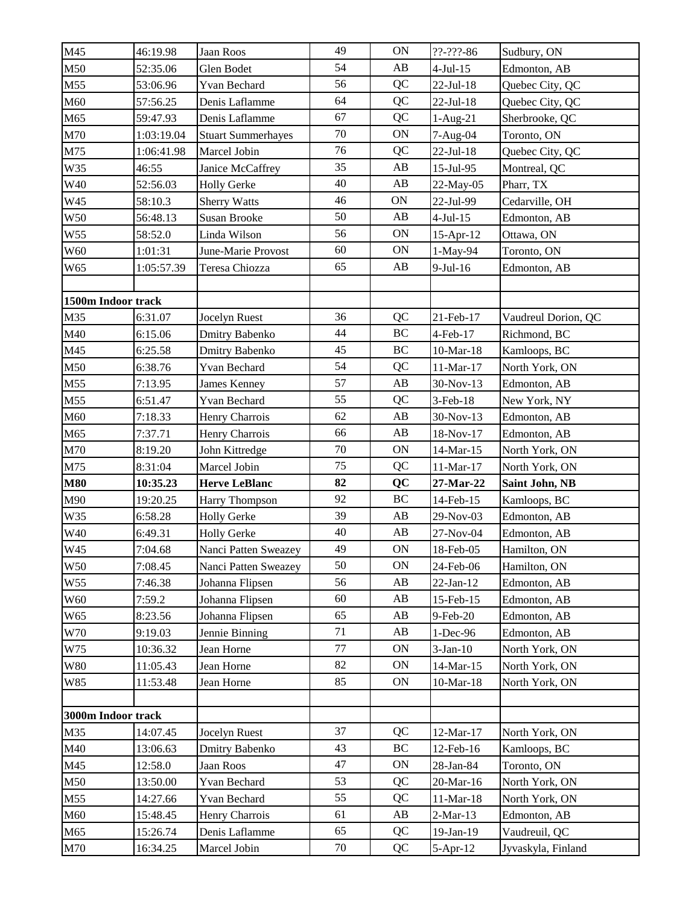| M45                | 46:19.98           | Jaan Roos                 | 49 | <b>ON</b> | $?? - ??? - 86$ | Sudbury, ON         |
|--------------------|--------------------|---------------------------|----|-----------|-----------------|---------------------|
| M50                | 52:35.06           | Glen Bodet                | 54 | AB        | $4-Jul-15$      | Edmonton, AB        |
| M55                | 53:06.96           | Yvan Bechard              | 56 | QC        | $22-Jul-18$     | Quebec City, QC     |
| M60                | 57:56.25           | Denis Laflamme            | 64 | QC        | $22-Jul-18$     | Quebec City, QC     |
| M65                | 59:47.93           | Denis Laflamme            | 67 | QC        | 1-Aug-21        | Sherbrooke, QC      |
| M70                | 1:03:19.04         | <b>Stuart Summerhayes</b> | 70 | ON        | 7-Aug-04        | Toronto, ON         |
| M75                | 1:06:41.98         | Marcel Jobin              | 76 | QC        | $22-Jul-18$     | Quebec City, QC     |
| W35                | 46:55              | Janice McCaffrey          | 35 | AB        | 15-Jul-95       | Montreal, QC        |
| W40                | 52:56.03           | <b>Holly Gerke</b>        | 40 | AB        | 22-May-05       | Pharr, TX           |
| W45                | 58:10.3            | <b>Sherry Watts</b>       | 46 | ON        | 22-Jul-99       | Cedarville, OH      |
| W <sub>50</sub>    | 56:48.13           | <b>Susan Brooke</b>       | 50 | AB        | $4-Jul-15$      | Edmonton, AB        |
| W55                | 58:52.0            | Linda Wilson              | 56 | ON        | 15-Apr-12       | Ottawa, ON          |
| W60                | 1:01:31            | June-Marie Provost        | 60 | <b>ON</b> | 1-May-94        | Toronto, ON         |
| W65                | 1:05:57.39         | Teresa Chiozza            | 65 | AB        | $9$ -Jul-16     | Edmonton, AB        |
| 1500m Indoor track |                    |                           |    |           |                 |                     |
| M35                | 6:31.07            | <b>Jocelyn Ruest</b>      | 36 | QC        | 21-Feb-17       | Vaudreul Dorion, QC |
| M40                | 6:15.06            | Dmitry Babenko            | 44 | BC        | 4-Feb-17        | Richmond, BC        |
| M45                | 6:25.58            | Dmitry Babenko            | 45 | BC        | $10-Mar-18$     | Kamloops, BC        |
| M50                | 6:38.76            | Yvan Bechard              | 54 | QC        | 11-Mar-17       | North York, ON      |
| M55                | 7:13.95            | James Kenney              | 57 | AB        | 30-Nov-13       | Edmonton, AB        |
| M55                | 6:51.47            | Yvan Bechard              | 55 | QC        | 3-Feb-18        | New York, NY        |
| M60                | 7:18.33            | Henry Charrois            | 62 | AB        | 30-Nov-13       | Edmonton, AB        |
| M65                | 7:37.71            | Henry Charrois            | 66 | AB        | 18-Nov-17       | Edmonton, AB        |
| M70                | 8:19.20            | John Kittredge            | 70 | <b>ON</b> | 14-Mar-15       | North York, ON      |
| M75                | 8:31:04            | Marcel Jobin              | 75 | QC        | 11-Mar-17       | North York, ON      |
| <b>M80</b>         | 10:35.23           | <b>Herve LeBlanc</b>      | 82 | QC        | 27-Mar-22       | Saint John, NB      |
| M90                | 19:20.25           | Harry Thompson            | 92 | BC        | 14-Feb-15       | Kamloops, BC        |
| W35                | 6:58.28            | <b>Holly Gerke</b>        | 39 | AB        | 29-Nov-03       | Edmonton, AB        |
| W40                | 6:49.31            | <b>Holly Gerke</b>        | 40 | AB        | 27-Nov-04       | Edmonton, AB        |
| W45                | 7:04.68            | Nanci Patten Sweazey      | 49 | <b>ON</b> | 18-Feb-05       | Hamilton, ON        |
| W <sub>50</sub>    | 7:08.45            | Nanci Patten Sweazey      | 50 | <b>ON</b> | 24-Feb-06       | Hamilton, ON        |
| W <sub>55</sub>    | 7:46.38            | Johanna Flipsen           | 56 | AB        | $22-Jan-12$     | Edmonton, AB        |
| W60                | 7:59.2             | Johanna Flipsen           | 60 | AB        | 15-Feb-15       | Edmonton, AB        |
| W65                | 8:23.56            | Johanna Flipsen           | 65 | AB        | 9-Feb-20        | Edmonton, AB        |
| W70                | 9:19.03            | Jennie Binning            | 71 | AB        | 1-Dec-96        | Edmonton, AB        |
| W75                | 10:36.32           | Jean Horne                | 77 | ON        | $3-Jan-10$      | North York, ON      |
| <b>W80</b>         | 11:05.43           | Jean Horne                | 82 | ON        | 14-Mar-15       | North York, ON      |
| W85                | 11:53.48           | Jean Horne                | 85 | ON        | $10-Mar-18$     | North York, ON      |
|                    |                    |                           |    |           |                 |                     |
|                    | 3000m Indoor track |                           |    |           |                 |                     |
| M35                | 14:07.45           | Jocelyn Ruest             | 37 | QC        | 12-Mar-17       | North York, ON      |
| M40                | 13:06.63           | Dmitry Babenko            | 43 | BC        | 12-Feb-16       | Kamloops, BC        |
| M45                | 12:58.0            | Jaan Roos                 | 47 | ON        | 28-Jan-84       | Toronto, ON         |
| M50                | 13:50.00           | Yvan Bechard              | 53 | QC        | 20-Mar-16       | North York, ON      |
| M55                | 14:27.66           | Yvan Bechard              | 55 | QC        | $11-Mar-18$     | North York, ON      |
| M60                | 15:48.45           | Henry Charrois            | 61 | AB        | $2-Mar-13$      | Edmonton, AB        |
| M65                | 15:26.74           | Denis Laflamme            | 65 | QC        | 19-Jan-19       | Vaudreuil, QC       |
| M70                | 16:34.25           | Marcel Jobin              | 70 | QC        | $5-Apr-12$      | Jyvaskyla, Finland  |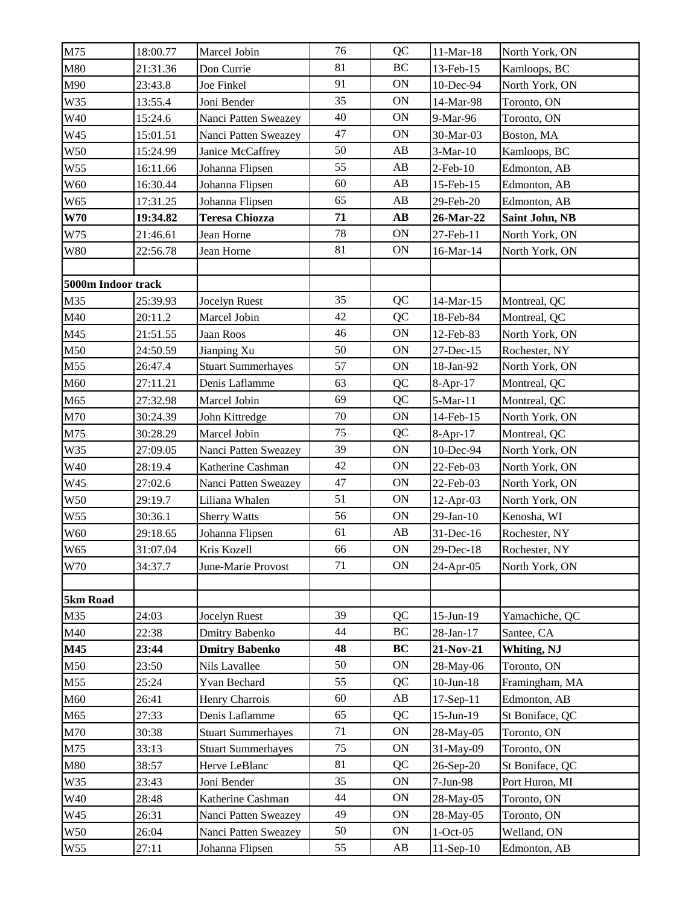| 18:00.77       |                                                                                                                                                                                                                                                  |                                                                                                                                                                                                                                                                                                                                                                                                                                                            |                                                                                                                |                                                                                                                                           |                                                                                                                                                                                                                                                                                                                                          |
|----------------|--------------------------------------------------------------------------------------------------------------------------------------------------------------------------------------------------------------------------------------------------|------------------------------------------------------------------------------------------------------------------------------------------------------------------------------------------------------------------------------------------------------------------------------------------------------------------------------------------------------------------------------------------------------------------------------------------------------------|----------------------------------------------------------------------------------------------------------------|-------------------------------------------------------------------------------------------------------------------------------------------|------------------------------------------------------------------------------------------------------------------------------------------------------------------------------------------------------------------------------------------------------------------------------------------------------------------------------------------|
|                | Marcel Jobin                                                                                                                                                                                                                                     | 76<br>81                                                                                                                                                                                                                                                                                                                                                                                                                                                   | QC<br>BC                                                                                                       | $11-Mar-18$                                                                                                                               | North York, ON                                                                                                                                                                                                                                                                                                                           |
| 21:31.36       | Don Currie                                                                                                                                                                                                                                       | 91                                                                                                                                                                                                                                                                                                                                                                                                                                                         |                                                                                                                | 13-Feb-15                                                                                                                                 | Kamloops, BC                                                                                                                                                                                                                                                                                                                             |
| 23:43.8        | Joe Finkel                                                                                                                                                                                                                                       |                                                                                                                                                                                                                                                                                                                                                                                                                                                            | ON                                                                                                             | 10-Dec-94                                                                                                                                 | North York, ON                                                                                                                                                                                                                                                                                                                           |
|                |                                                                                                                                                                                                                                                  |                                                                                                                                                                                                                                                                                                                                                                                                                                                            |                                                                                                                |                                                                                                                                           | Toronto, ON                                                                                                                                                                                                                                                                                                                              |
|                |                                                                                                                                                                                                                                                  |                                                                                                                                                                                                                                                                                                                                                                                                                                                            |                                                                                                                |                                                                                                                                           | Toronto, ON                                                                                                                                                                                                                                                                                                                              |
|                |                                                                                                                                                                                                                                                  |                                                                                                                                                                                                                                                                                                                                                                                                                                                            |                                                                                                                |                                                                                                                                           | Boston, MA                                                                                                                                                                                                                                                                                                                               |
|                |                                                                                                                                                                                                                                                  |                                                                                                                                                                                                                                                                                                                                                                                                                                                            |                                                                                                                |                                                                                                                                           | Kamloops, BC                                                                                                                                                                                                                                                                                                                             |
|                |                                                                                                                                                                                                                                                  |                                                                                                                                                                                                                                                                                                                                                                                                                                                            |                                                                                                                |                                                                                                                                           | Edmonton, AB                                                                                                                                                                                                                                                                                                                             |
|                |                                                                                                                                                                                                                                                  |                                                                                                                                                                                                                                                                                                                                                                                                                                                            |                                                                                                                |                                                                                                                                           | Edmonton, AB                                                                                                                                                                                                                                                                                                                             |
|                |                                                                                                                                                                                                                                                  |                                                                                                                                                                                                                                                                                                                                                                                                                                                            |                                                                                                                |                                                                                                                                           | Edmonton, AB                                                                                                                                                                                                                                                                                                                             |
|                |                                                                                                                                                                                                                                                  |                                                                                                                                                                                                                                                                                                                                                                                                                                                            |                                                                                                                |                                                                                                                                           | Saint John, NB                                                                                                                                                                                                                                                                                                                           |
|                |                                                                                                                                                                                                                                                  |                                                                                                                                                                                                                                                                                                                                                                                                                                                            |                                                                                                                |                                                                                                                                           | North York, ON                                                                                                                                                                                                                                                                                                                           |
|                |                                                                                                                                                                                                                                                  |                                                                                                                                                                                                                                                                                                                                                                                                                                                            |                                                                                                                |                                                                                                                                           | North York, ON                                                                                                                                                                                                                                                                                                                           |
|                |                                                                                                                                                                                                                                                  |                                                                                                                                                                                                                                                                                                                                                                                                                                                            |                                                                                                                |                                                                                                                                           |                                                                                                                                                                                                                                                                                                                                          |
| 25:39.93       | Jocelyn Ruest                                                                                                                                                                                                                                    | 35                                                                                                                                                                                                                                                                                                                                                                                                                                                         | QC                                                                                                             | 14-Mar-15                                                                                                                                 | Montreal, QC                                                                                                                                                                                                                                                                                                                             |
| 20:11.2        | Marcel Jobin                                                                                                                                                                                                                                     | 42                                                                                                                                                                                                                                                                                                                                                                                                                                                         | QC                                                                                                             | 18-Feb-84                                                                                                                                 | Montreal, QC                                                                                                                                                                                                                                                                                                                             |
| 21:51.55       | Jaan Roos                                                                                                                                                                                                                                        | 46                                                                                                                                                                                                                                                                                                                                                                                                                                                         | ON                                                                                                             | 12-Feb-83                                                                                                                                 | North York, ON                                                                                                                                                                                                                                                                                                                           |
| 24:50.59       | Jianping Xu                                                                                                                                                                                                                                      | 50                                                                                                                                                                                                                                                                                                                                                                                                                                                         | <b>ON</b>                                                                                                      | 27-Dec-15                                                                                                                                 | Rochester, NY                                                                                                                                                                                                                                                                                                                            |
| 26:47.4        | <b>Stuart Summerhayes</b>                                                                                                                                                                                                                        | 57                                                                                                                                                                                                                                                                                                                                                                                                                                                         | ON                                                                                                             | 18-Jan-92                                                                                                                                 | North York, ON                                                                                                                                                                                                                                                                                                                           |
| 27:11.21       | Denis Laflamme                                                                                                                                                                                                                                   | 63                                                                                                                                                                                                                                                                                                                                                                                                                                                         | QC                                                                                                             | 8-Apr-17                                                                                                                                  | Montreal, QC                                                                                                                                                                                                                                                                                                                             |
| 27:32.98       | Marcel Jobin                                                                                                                                                                                                                                     | 69                                                                                                                                                                                                                                                                                                                                                                                                                                                         | QC                                                                                                             | 5-Mar-11                                                                                                                                  | Montreal, QC                                                                                                                                                                                                                                                                                                                             |
| 30:24.39       | John Kittredge                                                                                                                                                                                                                                   | 70                                                                                                                                                                                                                                                                                                                                                                                                                                                         | ON                                                                                                             | 14-Feb-15                                                                                                                                 | North York, ON                                                                                                                                                                                                                                                                                                                           |
| 30:28.29       | Marcel Jobin                                                                                                                                                                                                                                     | 75                                                                                                                                                                                                                                                                                                                                                                                                                                                         | QC                                                                                                             |                                                                                                                                           | Montreal, QC                                                                                                                                                                                                                                                                                                                             |
| 27:09.05       | Nanci Patten Sweazey                                                                                                                                                                                                                             | 39                                                                                                                                                                                                                                                                                                                                                                                                                                                         | ON                                                                                                             | 10-Dec-94                                                                                                                                 | North York, ON                                                                                                                                                                                                                                                                                                                           |
|                | Katherine Cashman                                                                                                                                                                                                                                | 42                                                                                                                                                                                                                                                                                                                                                                                                                                                         | ON                                                                                                             |                                                                                                                                           | North York, ON                                                                                                                                                                                                                                                                                                                           |
| 27:02.6        |                                                                                                                                                                                                                                                  | 47                                                                                                                                                                                                                                                                                                                                                                                                                                                         | ON                                                                                                             |                                                                                                                                           | North York, ON                                                                                                                                                                                                                                                                                                                           |
| 29:19.7        | Liliana Whalen                                                                                                                                                                                                                                   | 51                                                                                                                                                                                                                                                                                                                                                                                                                                                         | ON                                                                                                             |                                                                                                                                           | North York, ON                                                                                                                                                                                                                                                                                                                           |
| 30:36.1        |                                                                                                                                                                                                                                                  | 56                                                                                                                                                                                                                                                                                                                                                                                                                                                         | ON                                                                                                             | $29$ -Jan-10                                                                                                                              | Kenosha, WI                                                                                                                                                                                                                                                                                                                              |
|                |                                                                                                                                                                                                                                                  | 61                                                                                                                                                                                                                                                                                                                                                                                                                                                         | AB                                                                                                             |                                                                                                                                           | Rochester, NY                                                                                                                                                                                                                                                                                                                            |
| 31:07.04       | Kris Kozell                                                                                                                                                                                                                                      | 66                                                                                                                                                                                                                                                                                                                                                                                                                                                         | <b>ON</b>                                                                                                      | 29-Dec-18                                                                                                                                 | Rochester, NY                                                                                                                                                                                                                                                                                                                            |
| 34:37.7        | June-Marie Provost                                                                                                                                                                                                                               | 71                                                                                                                                                                                                                                                                                                                                                                                                                                                         | <b>ON</b>                                                                                                      | 24-Apr-05                                                                                                                                 | North York, ON                                                                                                                                                                                                                                                                                                                           |
|                |                                                                                                                                                                                                                                                  |                                                                                                                                                                                                                                                                                                                                                                                                                                                            |                                                                                                                |                                                                                                                                           |                                                                                                                                                                                                                                                                                                                                          |
|                |                                                                                                                                                                                                                                                  |                                                                                                                                                                                                                                                                                                                                                                                                                                                            |                                                                                                                |                                                                                                                                           | Yamachiche, QC                                                                                                                                                                                                                                                                                                                           |
|                |                                                                                                                                                                                                                                                  |                                                                                                                                                                                                                                                                                                                                                                                                                                                            |                                                                                                                |                                                                                                                                           | Santee, CA                                                                                                                                                                                                                                                                                                                               |
|                |                                                                                                                                                                                                                                                  |                                                                                                                                                                                                                                                                                                                                                                                                                                                            |                                                                                                                |                                                                                                                                           | Whiting, NJ                                                                                                                                                                                                                                                                                                                              |
|                |                                                                                                                                                                                                                                                  |                                                                                                                                                                                                                                                                                                                                                                                                                                                            |                                                                                                                |                                                                                                                                           | Toronto, ON                                                                                                                                                                                                                                                                                                                              |
|                |                                                                                                                                                                                                                                                  |                                                                                                                                                                                                                                                                                                                                                                                                                                                            |                                                                                                                |                                                                                                                                           | Framingham, MA                                                                                                                                                                                                                                                                                                                           |
|                |                                                                                                                                                                                                                                                  |                                                                                                                                                                                                                                                                                                                                                                                                                                                            |                                                                                                                |                                                                                                                                           | Edmonton, AB                                                                                                                                                                                                                                                                                                                             |
|                |                                                                                                                                                                                                                                                  |                                                                                                                                                                                                                                                                                                                                                                                                                                                            |                                                                                                                |                                                                                                                                           | St Boniface, QC                                                                                                                                                                                                                                                                                                                          |
|                |                                                                                                                                                                                                                                                  |                                                                                                                                                                                                                                                                                                                                                                                                                                                            |                                                                                                                |                                                                                                                                           | Toronto, ON                                                                                                                                                                                                                                                                                                                              |
|                |                                                                                                                                                                                                                                                  |                                                                                                                                                                                                                                                                                                                                                                                                                                                            |                                                                                                                |                                                                                                                                           | Toronto, ON                                                                                                                                                                                                                                                                                                                              |
|                |                                                                                                                                                                                                                                                  | 81                                                                                                                                                                                                                                                                                                                                                                                                                                                         | QC                                                                                                             |                                                                                                                                           |                                                                                                                                                                                                                                                                                                                                          |
| 38:57          | Herve LeBlanc                                                                                                                                                                                                                                    | 35                                                                                                                                                                                                                                                                                                                                                                                                                                                         | <b>ON</b>                                                                                                      | 26-Sep-20                                                                                                                                 | St Boniface, QC                                                                                                                                                                                                                                                                                                                          |
|                | Joni Bender                                                                                                                                                                                                                                      |                                                                                                                                                                                                                                                                                                                                                                                                                                                            |                                                                                                                | $7-Jun-98$                                                                                                                                | Port Huron, MI                                                                                                                                                                                                                                                                                                                           |
| 23:43          |                                                                                                                                                                                                                                                  |                                                                                                                                                                                                                                                                                                                                                                                                                                                            |                                                                                                                |                                                                                                                                           |                                                                                                                                                                                                                                                                                                                                          |
| 28:48          | Katherine Cashman                                                                                                                                                                                                                                | 44                                                                                                                                                                                                                                                                                                                                                                                                                                                         | ON                                                                                                             | 28-May-05                                                                                                                                 | Toronto, ON                                                                                                                                                                                                                                                                                                                              |
| 26:31<br>26:04 | Nanci Patten Sweazey<br>Nanci Patten Sweazey                                                                                                                                                                                                     | 49<br>50                                                                                                                                                                                                                                                                                                                                                                                                                                                   | ON<br>ON                                                                                                       | 28-May-05<br>$1-Oct-05$                                                                                                                   | Toronto, ON<br>Welland, ON                                                                                                                                                                                                                                                                                                               |
|                | 13:55.4<br>15:24.6<br>15:01.51<br>15:24.99<br>16:11.66<br>16:30.44<br>17:31.25<br>19:34.82<br>21:46.61<br>22:56.78<br>5000m Indoor track<br>28:19.4<br>29:18.65<br>24:03<br>22:38<br>23:44<br>23:50<br>25:24<br>26:41<br>27:33<br>30:38<br>33:13 | Joni Bender<br>Nanci Patten Sweazey<br>Nanci Patten Sweazey<br>Janice McCaffrey<br>Johanna Flipsen<br>Johanna Flipsen<br>Johanna Flipsen<br><b>Teresa Chiozza</b><br>Jean Horne<br>Jean Horne<br>Nanci Patten Sweazey<br><b>Sherry Watts</b><br>Johanna Flipsen<br>Jocelyn Ruest<br>Dmitry Babenko<br><b>Dmitry Babenko</b><br>Nils Lavallee<br>Yvan Bechard<br>Henry Charrois<br>Denis Laflamme<br><b>Stuart Summerhayes</b><br><b>Stuart Summerhayes</b> | 35<br>40<br>47<br>50<br>55<br>60<br>65<br>71<br>78<br>81<br>39<br>44<br>48<br>50<br>55<br>60<br>65<br>71<br>75 | ON<br>ON<br>ON<br>AB<br>AB<br>AB<br>AB<br>$\mathbf{A}\mathbf{B}$<br>ON<br><b>ON</b><br>QC<br>BC<br>BC<br>ON<br>QC<br>AB<br>QC<br>ON<br>ON | 14-Mar-98<br>9-Mar-96<br>30-Mar-03<br>3-Mar-10<br>$2$ -Feb- $10$<br>15-Feb-15<br>29-Feb-20<br>26-Mar-22<br>27-Feb-11<br>16-Mar-14<br>8-Apr-17<br>22-Feb-03<br>22-Feb-03<br>12-Apr-03<br>31-Dec-16<br>$15$ -Jun- $19$<br>28-Jan-17<br>21-Nov-21<br>28-May-06<br>$10$ -Jun- $18$<br>17-Sep-11<br>$15$ -Jun- $19$<br>28-May-05<br>31-May-09 |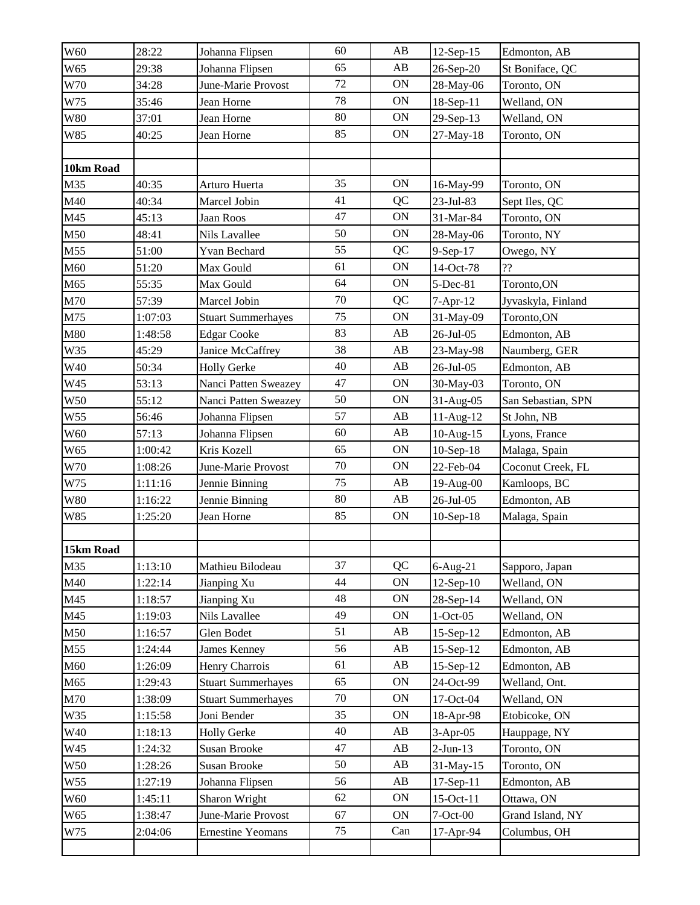| W60                                                                                          | 28:22   | Johanna Flipsen           | 60 | AB        | 12-Sep-15   | Edmonton, AB       |
|----------------------------------------------------------------------------------------------|---------|---------------------------|----|-----------|-------------|--------------------|
| W <sub>65</sub>                                                                              | 29:38   | Johanna Flipsen           | 65 | AB        | 26-Sep-20   | St Boniface, QC    |
| W70                                                                                          | 34:28   | June-Marie Provost        | 72 | ON        | 28-May-06   | Toronto, ON        |
| W75                                                                                          | 35:46   | Jean Horne                | 78 | ON        | 18-Sep-11   | Welland, ON        |
| <b>W80</b>                                                                                   | 37:01   | Jean Horne                | 80 | ON        | 29-Sep-13   | Welland, ON        |
| W85                                                                                          | 40:25   | Jean Horne                | 85 | <b>ON</b> | 27-May-18   | Toronto, ON        |
|                                                                                              |         |                           |    |           |             |                    |
| 10km Road                                                                                    |         |                           |    |           |             |                    |
| M35                                                                                          | 40:35   | Arturo Huerta             | 35 | ON        | 16-May-99   | Toronto, ON        |
| M40                                                                                          | 40:34   | Marcel Jobin              | 41 | QC        | 23-Jul-83   | Sept Iles, QC      |
| M45                                                                                          | 45:13   | Jaan Roos                 | 47 | <b>ON</b> | 31-Mar-84   | Toronto, ON        |
| M50                                                                                          | 48:41   | Nils Lavallee             | 50 | ON        | 28-May-06   | Toronto, NY        |
| M55                                                                                          | 51:00   | Yvan Bechard              | 55 | QC        | 9-Sep-17    | Owego, NY          |
| M60                                                                                          | 51:20   | Max Gould                 | 61 | ON        | 14-Oct-78   | ??                 |
| M65                                                                                          | 55:35   | Max Gould                 | 64 | ON        | 5-Dec-81    | Toronto, ON        |
| M70                                                                                          | 57:39   | Marcel Jobin              | 70 | QC        | $7-Apr-12$  | Jyvaskyla, Finland |
| M75                                                                                          | 1:07:03 | <b>Stuart Summerhayes</b> | 75 | ON        | 31-May-09   | Toronto, ON        |
| M80                                                                                          | 1:48:58 | <b>Edgar Cooke</b>        | 83 | AB        | 26-Jul-05   | Edmonton, AB       |
| W35                                                                                          | 45:29   | Janice McCaffrey          | 38 | AB        | 23-May-98   | Naumberg, GER      |
| W40                                                                                          | 50:34   | <b>Holly Gerke</b>        | 40 | AB        | 26-Jul-05   | Edmonton, AB       |
| W45                                                                                          | 53:13   | Nanci Patten Sweazey      | 47 | ON        | 30-May-03   | Toronto, ON        |
| W50                                                                                          | 55:12   | Nanci Patten Sweazey      | 50 | ON        | $31-Aug-05$ | San Sebastian, SPN |
| W55                                                                                          | 56:46   | Johanna Flipsen           | 57 | AB        | $11-Aug-12$ | St John, NB        |
| W60                                                                                          | 57:13   | Johanna Flipsen           | 60 | AB        | $10-Aug-15$ | Lyons, France      |
| W65                                                                                          | 1:00:42 | Kris Kozell               | 65 | <b>ON</b> | $10-Sep-18$ | Malaga, Spain      |
| W70                                                                                          | 1:08:26 | June-Marie Provost        | 70 | <b>ON</b> | 22-Feb-04   | Coconut Creek, FL  |
| W75                                                                                          | 1:11:16 | Jennie Binning            | 75 | AB        | 19-Aug-00   | Kamloops, BC       |
| W80                                                                                          | 1:16:22 | Jennie Binning            | 80 | AB        | 26-Jul-05   | Edmonton, AB       |
| W85                                                                                          | 1:25:20 | Jean Horne                | 85 | ON        | $10-Sep-18$ | Malaga, Spain      |
|                                                                                              |         |                           |    |           |             |                    |
| 15km Road                                                                                    |         |                           |    |           |             |                    |
| M35                                                                                          | 1:13:10 | Mathieu Bilodeau          | 37 | QC        | $6-Aug-21$  | Sapporo, Japan     |
| M40                                                                                          | 1:22:14 | Jianping Xu               | 44 | ON        | $12-Sep-10$ | Welland, ON        |
| M45                                                                                          | 1:18:57 | Jianping Xu               | 48 | ON        | 28-Sep-14   | Welland, ON        |
| M45                                                                                          | 1:19:03 | Nils Lavallee             | 49 | ON        | $1-Oct-05$  | Welland, ON        |
|                                                                                              |         |                           |    |           |             |                    |
|                                                                                              | 1:16:57 | Glen Bodet                | 51 | AB        | $15-Sep-12$ | Edmonton, AB       |
|                                                                                              | 1:24:44 | James Kenney              | 56 | AB        | $15-Sep-12$ | Edmonton, AB       |
|                                                                                              | 1:26:09 | Henry Charrois            | 61 | AB        | 15-Sep-12   | Edmonton, AB       |
|                                                                                              | 1:29:43 | <b>Stuart Summerhayes</b> | 65 | <b>ON</b> | 24-Oct-99   | Welland, Ont.      |
|                                                                                              | 1:38:09 | <b>Stuart Summerhayes</b> | 70 | ON        | 17-Oct-04   | Welland, ON        |
|                                                                                              | 1:15:58 | Joni Bender               | 35 | ON        | 18-Apr-98   | Etobicoke, ON      |
|                                                                                              | 1:18:13 | <b>Holly Gerke</b>        | 40 | AB        | $3-Apr-05$  | Hauppage, NY       |
|                                                                                              | 1:24:32 | Susan Brooke              | 47 | AB        | $2-Jun-13$  | Toronto, ON        |
|                                                                                              | 1:28:26 | Susan Brooke              | 50 | AB        | 31-May-15   | Toronto, ON        |
|                                                                                              | 1:27:19 | Johanna Flipsen           | 56 | AB        | 17-Sep-11   | Edmonton, AB       |
|                                                                                              | 1:45:11 | Sharon Wright             | 62 | ON        | 15-Oct-11   | Ottawa, ON         |
| M50<br>M55<br>M60<br>M65<br>M70<br>W35<br>W40<br>W45<br>W <sub>50</sub><br>W55<br>W60<br>W65 | 1:38:47 | June-Marie Provost        | 67 | ON        | 7-Oct-00    | Grand Island, NY   |